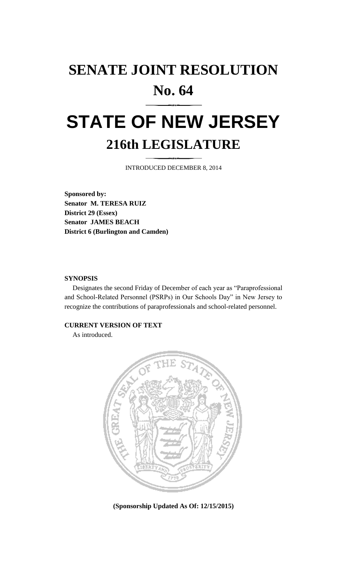## **SENATE JOINT RESOLUTION No. 64**

# **STATE OF NEW JERSEY 216th LEGISLATURE**

INTRODUCED DECEMBER 8, 2014

**Sponsored by: Senator M. TERESA RUIZ District 29 (Essex) Senator JAMES BEACH District 6 (Burlington and Camden)**

#### **SYNOPSIS**

Designates the second Friday of December of each year as "Paraprofessional and School-Related Personnel (PSRPs) in Our Schools Day" in New Jersey to recognize the contributions of paraprofessionals and school-related personnel.

#### **CURRENT VERSION OF TEXT**

As introduced.



**(Sponsorship Updated As Of: 12/15/2015)**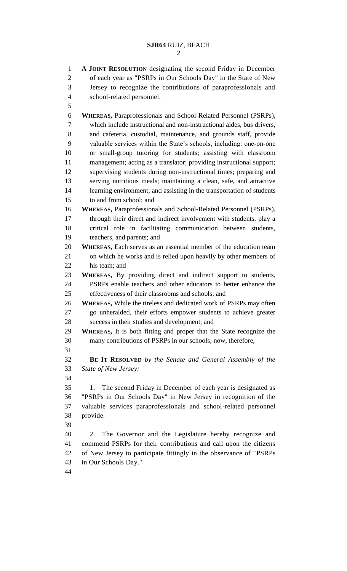**A JOINT RESOLUTION** designating the second Friday in December of each year as "PSRPs in Our Schools Day" in the State of New Jersey to recognize the contributions of paraprofessionals and school-related personnel. **WHEREAS,** Paraprofessionals and School-Related Personnel (PSRPs), which include instructional and non-instructional aides, bus drivers, and cafeteria, custodial, maintenance, and grounds staff, provide valuable services within the State's schools, including: one-on-one or small-group tutoring for students; assisting with classroom management; acting as a translator; providing instructional support; supervising students during non-instructional times; preparing and serving nutritious meals; maintaining a clean, safe, and attractive learning environment; and assisting in the transportation of students to and from school; and **WHEREAS,** Paraprofessionals and School-Related Personnel (PSRPs), through their direct and indirect involvement with students, play a critical role in facilitating communication between students, teachers, and parents; and **WHEREAS,** Each serves as an essential member of the education team on which he works and is relied upon heavily by other members of his team; and **WHEREAS,** By providing direct and indirect support to students, PSRPs enable teachers and other educators to better enhance the effectiveness of their classrooms and schools; and **WHEREAS,** While the tireless and dedicated work of PSRPs may often go unheralded, their efforts empower students to achieve greater success in their studies and development; and **WHEREAS,** It is both fitting and proper that the State recognize the many contributions of PSRPs in our schools; now, therefore, **BE IT RESOLVED** *by the Senate and General Assembly of the State of New Jersey:* 1. The second Friday in December of each year is designated as "PSRPs in Our Schools Day" in New Jersey in recognition of the valuable services paraprofessionals and school-related personnel provide. 2. The Governor and the Legislature hereby recognize and commend PSRPs for their contributions and call upon the citizens of New Jersey to participate fittingly in the observance of "PSRPs in Our Schools Day."